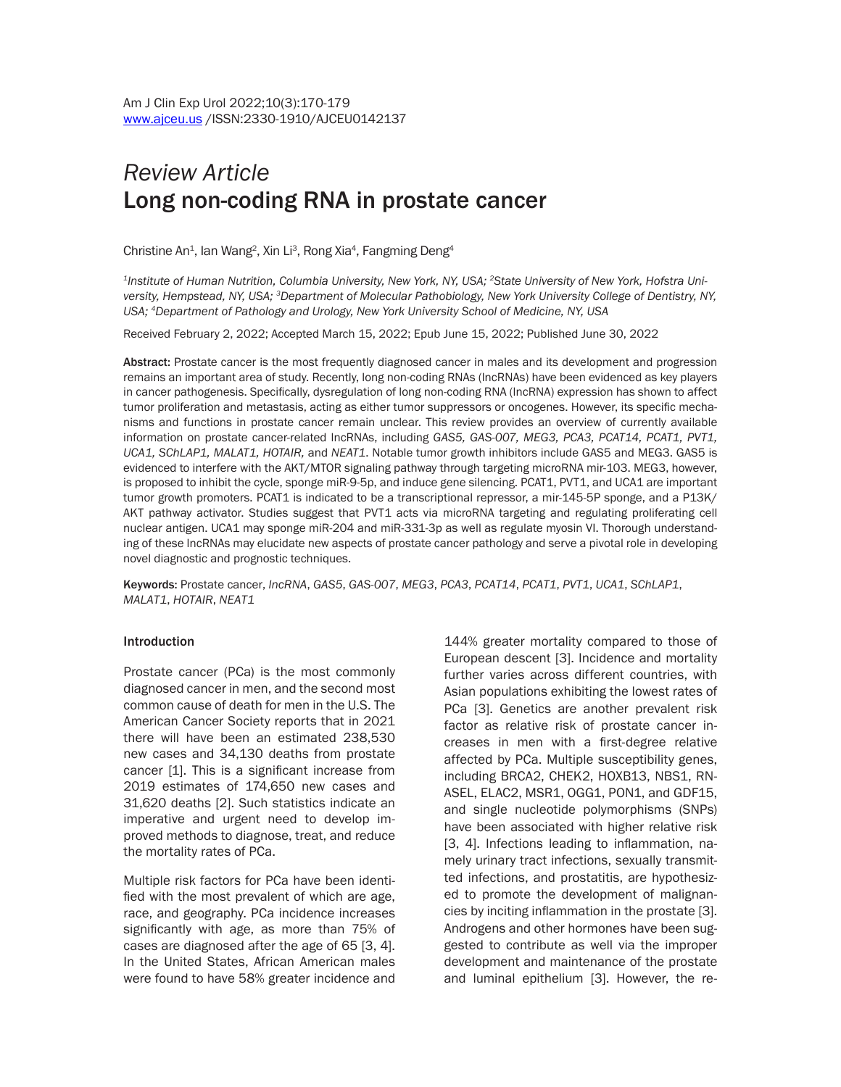# *Review Article* Long non-coding RNA in prostate cancer

Christine An<sup>1</sup>, lan Wang<sup>2</sup>, Xin Li<sup>3</sup>, Rong Xia<sup>4</sup>, Fangming Deng<sup>4</sup>

*1Institute of Human Nutrition, Columbia University, New York, NY, USA; 2State University of New York, Hofstra University, Hempstead, NY, USA; 3Department of Molecular Pathobiology, New York University College of Dentistry, NY, USA; 4Department of Pathology and Urology, New York University School of Medicine, NY, USA* 

Received February 2, 2022; Accepted March 15, 2022; Epub June 15, 2022; Published June 30, 2022

Abstract: Prostate cancer is the most frequently diagnosed cancer in males and its development and progression remains an important area of study. Recently, long non-coding RNAs (lncRNAs) have been evidenced as key players in cancer pathogenesis. Specifically, dysregulation of long non-coding RNA (lncRNA) expression has shown to affect tumor proliferation and metastasis, acting as either tumor suppressors or oncogenes. However, its specific mechanisms and functions in prostate cancer remain unclear. This review provides an overview of currently available information on prostate cancer-related lncRNAs, including *GAS5, GAS-007, MEG3, PCA3, PCAT14, PCAT1, PVT1, UCA1, SChLAP1, MALAT1, HOTAIR,* and *NEAT1*. Notable tumor growth inhibitors include GAS5 and MEG3. GAS5 is evidenced to interfere with the AKT/MTOR signaling pathway through targeting microRNA mir-103. MEG3, however, is proposed to inhibit the cycle, sponge miR-9-5p, and induce gene silencing. PCAT1, PVT1, and UCA1 are important tumor growth promoters. PCAT1 is indicated to be a transcriptional repressor, a mir-145-5P sponge, and a P13K/ AKT pathway activator. Studies suggest that PVT1 acts via microRNA targeting and regulating proliferating cell nuclear antigen. UCA1 may sponge miR-204 and miR-331-3p as well as regulate myosin VI. Thorough understanding of these lncRNAs may elucidate new aspects of prostate cancer pathology and serve a pivotal role in developing novel diagnostic and prognostic techniques.

Keywords: Prostate cancer, *lncRNA*, *GAS5*, *GAS-007*, *MEG3*, *PCA3*, *PCAT14*, *PCAT1*, *PVT1*, *UCA1*, *SChLAP1*, *MALAT1*, *HOTAIR*, *NEAT1*

## Introduction

Prostate cancer (PCa) is the most commonly diagnosed cancer in men, and the second most common cause of death for men in the U.S. The American Cancer Society reports that in 2021 there will have been an estimated 238,530 new cases and 34,130 deaths from prostate cancer [1]. This is a significant increase from 2019 estimates of 174,650 new cases and 31,620 deaths [2]. Such statistics indicate an imperative and urgent need to develop improved methods to diagnose, treat, and reduce the mortality rates of PCa.

Multiple risk factors for PCa have been identified with the most prevalent of which are age, race, and geography. PCa incidence increases significantly with age, as more than 75% of cases are diagnosed after the age of 65 [3, 4]. In the United States, African American males were found to have 58% greater incidence and

144% greater mortality compared to those of European descent [3]. Incidence and mortality further varies across different countries, with Asian populations exhibiting the lowest rates of PCa [3]. Genetics are another prevalent risk factor as relative risk of prostate cancer increases in men with a first-degree relative affected by PCa. Multiple susceptibility genes, including BRCA2, CHEK2, HOXB13, NBS1, RN-ASEL, ELAC2, MSR1, OGG1, PON1, and GDF15, and single nucleotide polymorphisms (SNPs) have been associated with higher relative risk [3, 4]. Infections leading to inflammation, namely urinary tract infections, sexually transmitted infections, and prostatitis, are hypothesized to promote the development of malignancies by inciting inflammation in the prostate [3]. Androgens and other hormones have been suggested to contribute as well via the improper development and maintenance of the prostate and luminal epithelium [3]. However, the re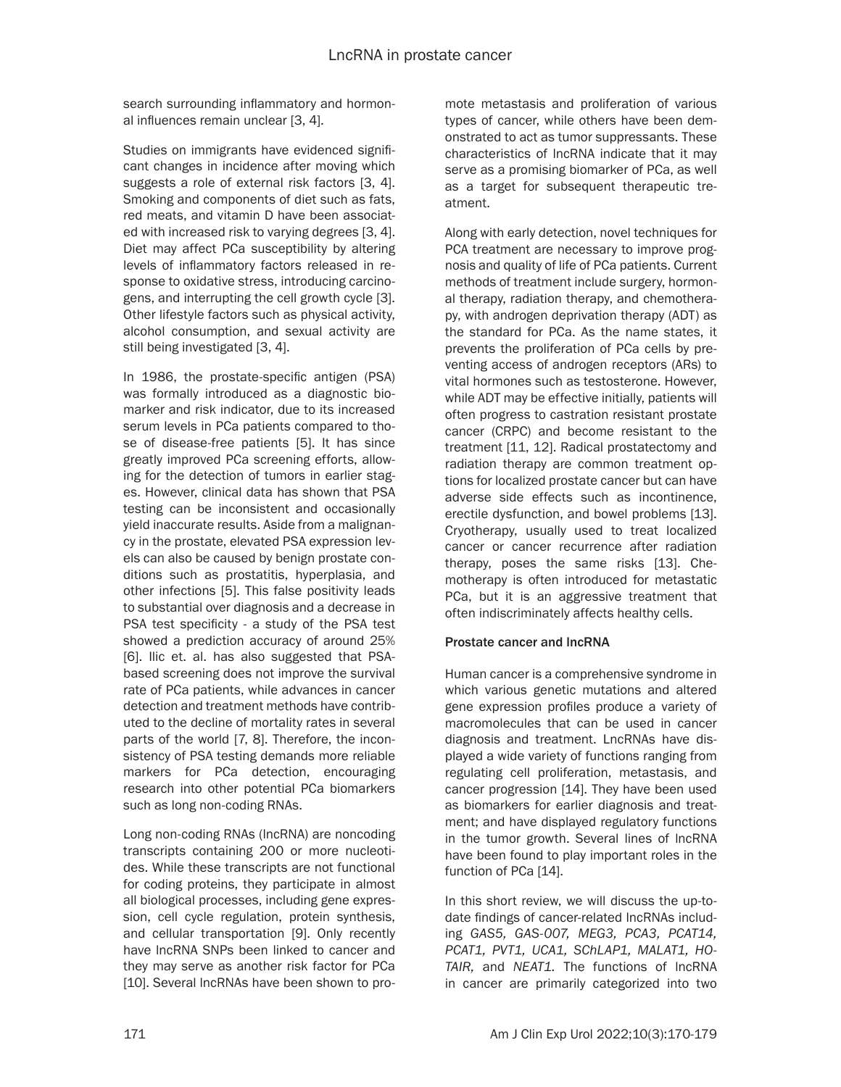search surrounding inflammatory and hormonal influences remain unclear [3, 4].

Studies on immigrants have evidenced significant changes in incidence after moving which suggests a role of external risk factors [3, 4]. Smoking and components of diet such as fats, red meats, and vitamin D have been associated with increased risk to varying degrees [3, 4]. Diet may affect PCa susceptibility by altering levels of inflammatory factors released in response to oxidative stress, introducing carcinogens, and interrupting the cell growth cycle [3]. Other lifestyle factors such as physical activity, alcohol consumption, and sexual activity are still being investigated [3, 4].

In 1986, the prostate-specific antigen (PSA) was formally introduced as a diagnostic biomarker and risk indicator, due to its increased serum levels in PCa patients compared to those of disease-free patients [5]. It has since greatly improved PCa screening efforts, allowing for the detection of tumors in earlier stages. However, clinical data has shown that PSA testing can be inconsistent and occasionally yield inaccurate results. Aside from a malignancy in the prostate, elevated PSA expression levels can also be caused by benign prostate conditions such as prostatitis, hyperplasia, and other infections [5]. This false positivity leads to substantial over diagnosis and a decrease in PSA test specificity - a study of the PSA test showed a prediction accuracy of around 25% [6]. Ilic et. al. has also suggested that PSAbased screening does not improve the survival rate of PCa patients, while advances in cancer detection and treatment methods have contributed to the decline of mortality rates in several parts of the world [7, 8]. Therefore, the inconsistency of PSA testing demands more reliable markers for PCa detection, encouraging research into other potential PCa biomarkers such as long non-coding RNAs.

Long non-coding RNAs (lncRNA) are noncoding transcripts containing 200 or more nucleotides. While these transcripts are not functional for coding proteins, they participate in almost all biological processes, including gene expression, cell cycle regulation, protein synthesis, and cellular transportation [9]. Only recently have lncRNA SNPs been linked to cancer and they may serve as another risk factor for PCa [10]. Several lncRNAs have been shown to promote metastasis and proliferation of various types of cancer, while others have been demonstrated to act as tumor suppressants. These characteristics of lncRNA indicate that it may serve as a promising biomarker of PCa, as well as a target for subsequent therapeutic treatment.

Along with early detection, novel techniques for PCA treatment are necessary to improve prognosis and quality of life of PCa patients. Current methods of treatment include surgery, hormonal therapy, radiation therapy, and chemotherapy, with androgen deprivation therapy (ADT) as the standard for PCa. As the name states, it prevents the proliferation of PCa cells by preventing access of androgen receptors (ARs) to vital hormones such as testosterone. However, while ADT may be effective initially, patients will often progress to castration resistant prostate cancer (CRPC) and become resistant to the treatment [11, 12]. Radical prostatectomy and radiation therapy are common treatment options for localized prostate cancer but can have adverse side effects such as incontinence, erectile dysfunction, and bowel problems [13]. Cryotherapy, usually used to treat localized cancer or cancer recurrence after radiation therapy, poses the same risks [13]. Chemotherapy is often introduced for metastatic PCa, but it is an aggressive treatment that often indiscriminately affects healthy cells.

## Prostate cancer and lncRNA

Human cancer is a comprehensive syndrome in which various genetic mutations and altered gene expression profiles produce a variety of macromolecules that can be used in cancer diagnosis and treatment. LncRNAs have displayed a wide variety of functions ranging from regulating cell proliferation, metastasis, and cancer progression [14]. They have been used as biomarkers for earlier diagnosis and treatment; and have displayed regulatory functions in the tumor growth. Several lines of lncRNA have been found to play important roles in the function of PCa [14].

In this short review, we will discuss the up-todate findings of cancer-related lncRNAs including *GAS5, GAS-007, MEG3, PCA3, PCAT14, PCAT1, PVT1, UCA1, SChLAP1, MALAT1, HO-TAIR,* and *NEAT1.* The functions of lncRNA in cancer are primarily categorized into two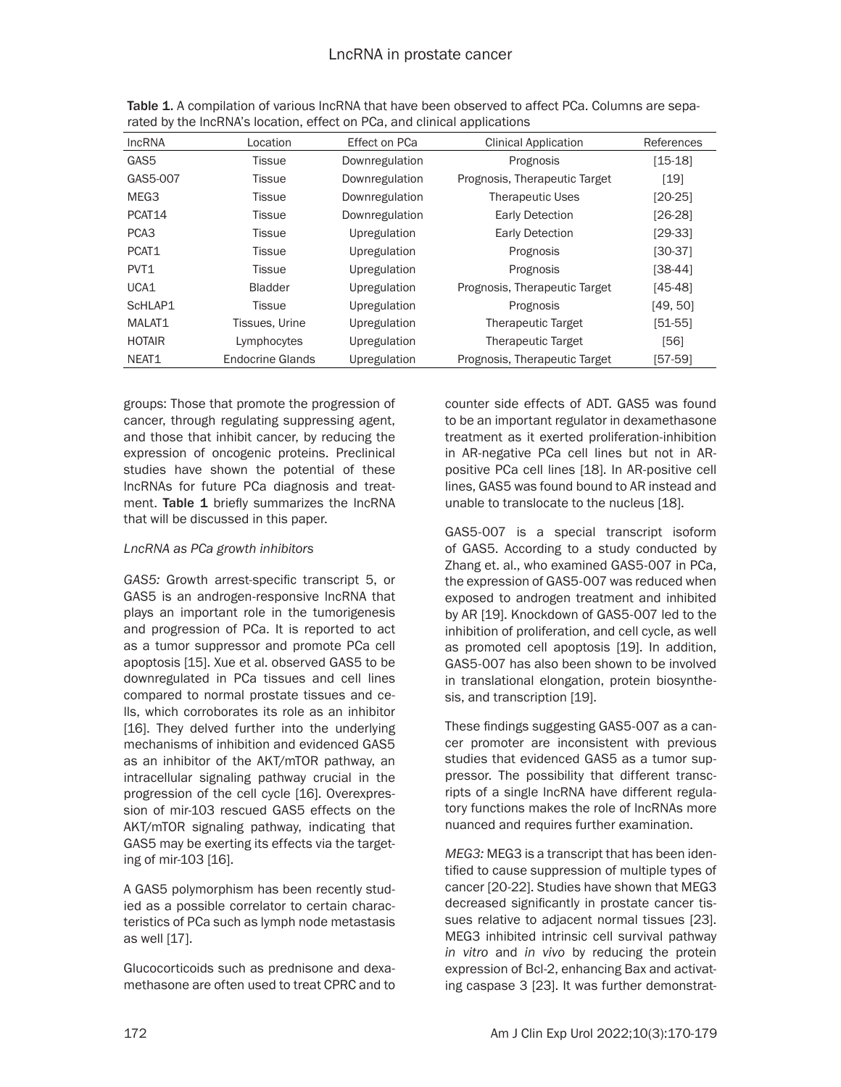| <b>IncRNA</b>    | Location                | Effect on PCa  | <b>Clinical Application</b>   | References |
|------------------|-------------------------|----------------|-------------------------------|------------|
| GAS5             | Tissue                  | Downregulation | Prognosis                     | $[15-18]$  |
| GAS5-007         | <b>Tissue</b>           | Downregulation | Prognosis, Therapeutic Target | [19]       |
| MEG3             | <b>Tissue</b>           | Downregulation | <b>Therapeutic Uses</b>       | $[20-25]$  |
| PCAT14           | Tissue                  | Downregulation | <b>Early Detection</b>        | $[26-28]$  |
| PCA <sub>3</sub> | <b>Tissue</b>           | Upregulation   | <b>Early Detection</b>        | $[29-33]$  |
| PCAT1            | Tissue                  | Upregulation   | Prognosis                     | $[30-37]$  |
| PVT <sub>1</sub> | Tissue                  | Upregulation   | Prognosis                     | [38-44]    |
| UCA1             | <b>Bladder</b>          | Upregulation   | Prognosis, Therapeutic Target | $[45-48]$  |
| ScHLAP1          | <b>Tissue</b>           | Upregulation   | Prognosis                     | [49, 50]   |
| MALAT1           | Tissues, Urine          | Upregulation   | Therapeutic Target            | $[51-55]$  |
| <b>HOTAIR</b>    | Lymphocytes             | Upregulation   | Therapeutic Target            | [56]       |
| NEAT1            | <b>Endocrine Glands</b> | Upregulation   | Prognosis, Therapeutic Target | [57-59]    |

Table 1. A compilation of various lncRNA that have been observed to affect PCa. Columns are separated by the lncRNA's location, effect on PCa, and clinical applications

groups: Those that promote the progression of cancer, through regulating suppressing agent, and those that inhibit cancer, by reducing the expression of oncogenic proteins. Preclinical studies have shown the potential of these lncRNAs for future PCa diagnosis and treatment. Table 1 briefly summarizes the lncRNA that will be discussed in this paper.

## *LncRNA as PCa growth inhibitors*

*GAS5:* Growth arrest-specific transcript 5, or GAS5 is an androgen-responsive lncRNA that plays an important role in the tumorigenesis and progression of PCa. It is reported to act as a tumor suppressor and promote PCa cell apoptosis [15]. Xue et al. observed GAS5 to be downregulated in PCa tissues and cell lines compared to normal prostate tissues and cells, which corroborates its role as an inhibitor [16]. They delved further into the underlying mechanisms of inhibition and evidenced GAS5 as an inhibitor of the AKT/mTOR pathway, an intracellular signaling pathway crucial in the progression of the cell cycle [16]. Overexpression of mir-103 rescued GAS5 effects on the AKT/mTOR signaling pathway, indicating that GAS5 may be exerting its effects via the targeting of mir-103 [16].

A GAS5 polymorphism has been recently studied as a possible correlator to certain characteristics of PCa such as lymph node metastasis as well [17].

Glucocorticoids such as prednisone and dexamethasone are often used to treat CPRC and to

counter side effects of ADT. GAS5 was found to be an important regulator in dexamethasone treatment as it exerted proliferation-inhibition in AR-negative PCa cell lines but not in ARpositive PCa cell lines [18]. In AR-positive cell lines, GAS5 was found bound to AR instead and unable to translocate to the nucleus [18].

GAS5-007 is a special transcript isoform of GAS5. According to a study conducted by Zhang et. al., who examined GAS5-007 in PCa, the expression of GAS5-007 was reduced when exposed to androgen treatment and inhibited by AR [19]. Knockdown of GAS5-007 led to the inhibition of proliferation, and cell cycle, as well as promoted cell apoptosis [19]. In addition, GAS5-007 has also been shown to be involved in translational elongation, protein biosynthesis, and transcription [19].

These findings suggesting GAS5-007 as a cancer promoter are inconsistent with previous studies that evidenced GAS5 as a tumor suppressor. The possibility that different transcripts of a single lncRNA have different regulatory functions makes the role of lncRNAs more nuanced and requires further examination.

*MEG3:* MEG3 is a transcript that has been identified to cause suppression of multiple types of cancer [20-22]. Studies have shown that MEG3 decreased significantly in prostate cancer tissues relative to adjacent normal tissues [23]. MEG3 inhibited intrinsic cell survival pathway *in vitro* and *in vivo* by reducing the protein expression of Bcl-2, enhancing Bax and activating caspase 3 [23]. It was further demonstrat-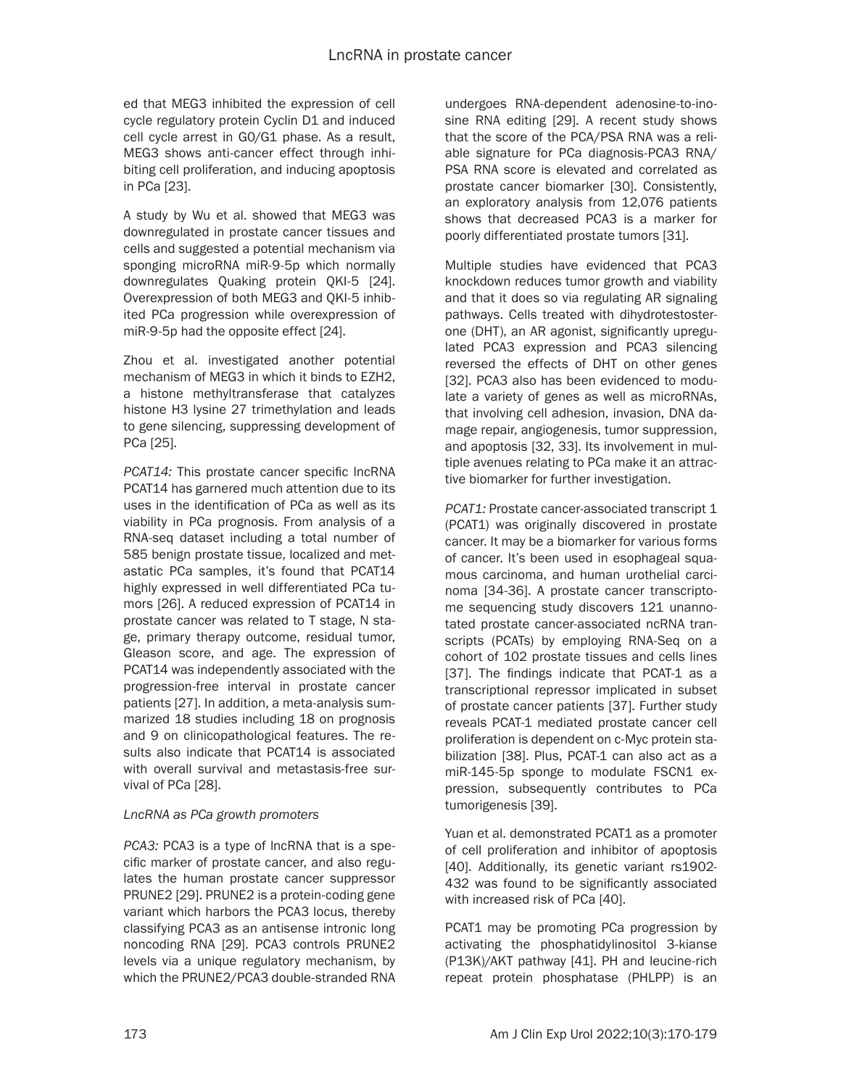ed that MEG3 inhibited the expression of cell cycle regulatory protein Cyclin D1 and induced cell cycle arrest in G0/G1 phase. As a result, MEG3 shows anti-cancer effect through inhibiting cell proliferation, and inducing apoptosis in PCa [23].

A study by Wu et al. showed that MEG3 was downregulated in prostate cancer tissues and cells and suggested a potential mechanism via sponging microRNA miR-9-5p which normally downregulates Quaking protein QKI-5 [24]. Overexpression of both MEG3 and QKI-5 inhibited PCa progression while overexpression of miR-9-5p had the opposite effect [24].

Zhou et al. investigated another potential mechanism of MEG3 in which it binds to EZH2, a histone methyltransferase that catalyzes histone H3 lysine 27 trimethylation and leads to gene silencing, suppressing development of PCa [25].

*PCAT14:* This prostate cancer specific lncRNA PCAT14 has garnered much attention due to its uses in the identification of PCa as well as its viability in PCa prognosis. From analysis of a RNA-seq dataset including a total number of 585 benign prostate tissue, localized and metastatic PCa samples, it's found that PCAT14 highly expressed in well differentiated PCa tumors [26]. A reduced expression of PCAT14 in prostate cancer was related to T stage, N stage, primary therapy outcome, residual tumor, Gleason score, and age. The expression of PCAT14 was independently associated with the progression-free interval in prostate cancer patients [27]. In addition, a meta-analysis summarized 18 studies including 18 on prognosis and 9 on clinicopathological features. The results also indicate that PCAT14 is associated with overall survival and metastasis-free survival of PCa [28].

## *LncRNA as PCa growth promoters*

*PCA3:* PCA3 is a type of lncRNA that is a specific marker of prostate cancer, and also regulates the human prostate cancer suppressor PRUNE2 [29]. PRUNE2 is a protein-coding gene variant which harbors the PCA3 locus, thereby classifying PCA3 as an antisense intronic long noncoding RNA [29]. PCA3 controls PRUNE2 levels via a unique regulatory mechanism, by which the PRUNE2/PCA3 double-stranded RNA

undergoes RNA-dependent adenosine-to-inosine RNA editing [29]. A recent study shows that the score of the PCA/PSA RNA was a reliable signature for PCa diagnosis-PCA3 RNA/ PSA RNA score is elevated and correlated as prostate cancer biomarker [30]. Consistently, an exploratory analysis from 12,076 patients shows that decreased PCA3 is a marker for poorly differentiated prostate tumors [31].

Multiple studies have evidenced that PCA3 knockdown reduces tumor growth and viability and that it does so via regulating AR signaling pathways. Cells treated with dihydrotestosterone (DHT), an AR agonist, significantly upregulated PCA3 expression and PCA3 silencing reversed the effects of DHT on other genes [32]. PCA3 also has been evidenced to modulate a variety of genes as well as microRNAs, that involving cell adhesion, invasion, DNA damage repair, angiogenesis, tumor suppression, and apoptosis [32, 33]. Its involvement in multiple avenues relating to PCa make it an attractive biomarker for further investigation.

*PCAT1:* Prostate cancer-associated transcript 1 (PCAT1) was originally discovered in prostate cancer. It may be a biomarker for various forms of cancer. It's been used in esophageal squamous carcinoma, and human urothelial carcinoma [34-36]. A prostate cancer transcriptome sequencing study discovers 121 unannotated prostate cancer-associated ncRNA transcripts (PCATs) by employing RNA-Seq on a cohort of 102 prostate tissues and cells lines [37]. The findings indicate that PCAT-1 as a transcriptional repressor implicated in subset of prostate cancer patients [37]. Further study reveals PCAT-1 mediated prostate cancer cell proliferation is dependent on c-Myc protein stabilization [38]. Plus, PCAT-1 can also act as a miR-145-5p sponge to modulate FSCN1 expression, subsequently contributes to PCa tumorigenesis [39].

Yuan et al. demonstrated PCAT1 as a promoter of cell proliferation and inhibitor of apoptosis [40]. Additionally, its genetic variant rs1902-432 was found to be significantly associated with increased risk of PCa [40].

PCAT1 may be promoting PCa progression by activating the phosphatidylinositol 3-kianse (P13K)/AKT pathway [41]. PH and leucine-rich repeat protein phosphatase (PHLPP) is an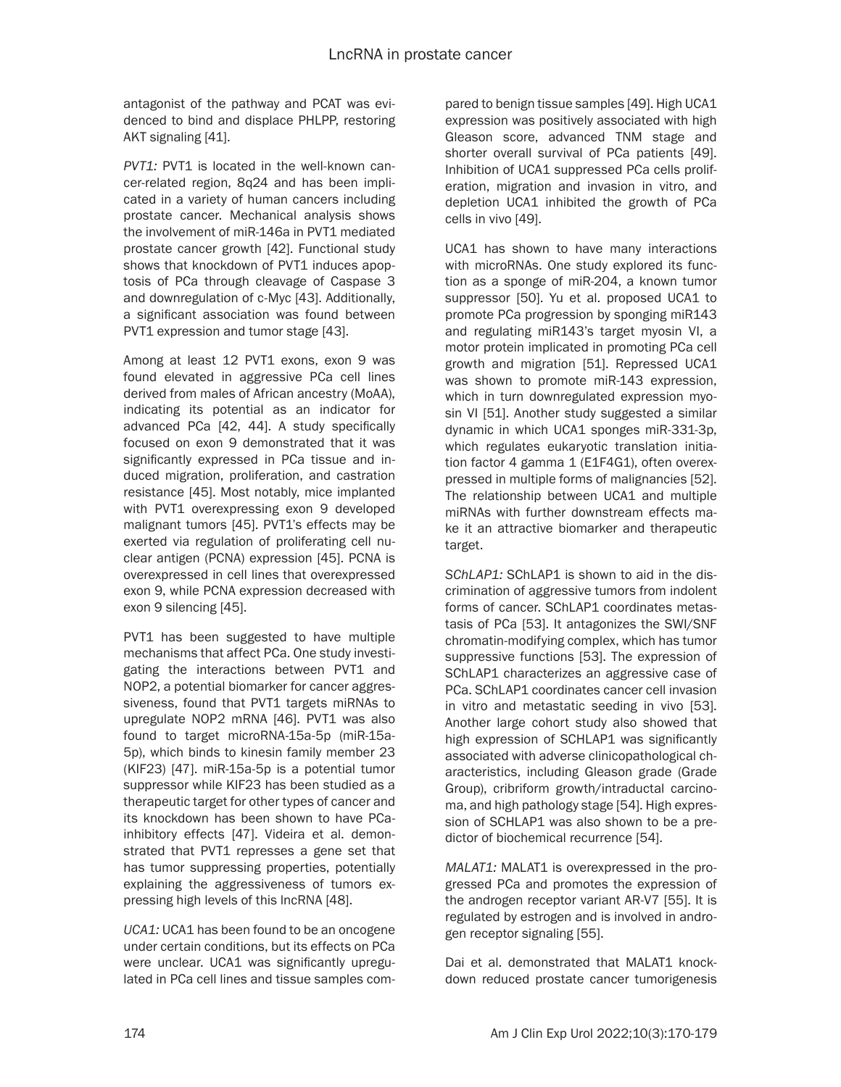antagonist of the pathway and PCAT was evidenced to bind and displace PHLPP, restoring AKT signaling [41].

*PVT1:* PVT1 is located in the well-known cancer-related region, 8q24 and has been implicated in a variety of human cancers including prostate cancer. Mechanical analysis shows the involvement of miR-146a in PVT1 mediated prostate cancer growth [42]. Functional study shows that knockdown of PVT1 induces apoptosis of PCa through cleavage of Caspase 3 and downregulation of c-Myc [43]. Additionally, a significant association was found between PVT1 expression and tumor stage [43].

Among at least 12 PVT1 exons, exon 9 was found elevated in aggressive PCa cell lines derived from males of African ancestry (MoAA), indicating its potential as an indicator for advanced PCa [42, 44]. A study specifically focused on exon 9 demonstrated that it was significantly expressed in PCa tissue and induced migration, proliferation, and castration resistance [45]. Most notably, mice implanted with PVT1 overexpressing exon 9 developed malignant tumors [45]. PVT1's effects may be exerted via regulation of proliferating cell nuclear antigen (PCNA) expression [45]. PCNA is overexpressed in cell lines that overexpressed exon 9, while PCNA expression decreased with exon 9 silencing [45].

PVT1 has been suggested to have multiple mechanisms that affect PCa. One study investigating the interactions between PVT1 and NOP2, a potential biomarker for cancer aggressiveness, found that PVT1 targets miRNAs to upregulate NOP2 mRNA [46]. PVT1 was also found to target microRNA-15a-5p (miR-15a-5p), which binds to kinesin family member 23 (KIF23) [47]. miR-15a-5p is a potential tumor suppressor while KIF23 has been studied as a therapeutic target for other types of cancer and its knockdown has been shown to have PCainhibitory effects [47]. Videira et al. demonstrated that PVT1 represses a gene set that has tumor suppressing properties, potentially explaining the aggressiveness of tumors expressing high levels of this lncRNA [48].

*UCA1:* UCA1 has been found to be an oncogene under certain conditions, but its effects on PCa were unclear. UCA1 was significantly upregulated in PCa cell lines and tissue samples compared to benign tissue samples [49]. High UCA1 expression was positively associated with high Gleason score, advanced TNM stage and shorter overall survival of PCa patients [49]. Inhibition of UCA1 suppressed PCa cells proliferation, migration and invasion in vitro, and depletion UCA1 inhibited the growth of PCa cells in vivo [49].

UCA1 has shown to have many interactions with microRNAs. One study explored its function as a sponge of miR-204, a known tumor suppressor [50]. Yu et al. proposed UCA1 to promote PCa progression by sponging miR143 and regulating miR143's target myosin VI, a motor protein implicated in promoting PCa cell growth and migration [51]. Repressed UCA1 was shown to promote miR-143 expression, which in turn downregulated expression myosin VI [51]. Another study suggested a similar dynamic in which UCA1 sponges miR-331-3p, which regulates eukaryotic translation initiation factor 4 gamma 1 (E1F4G1), often overexpressed in multiple forms of malignancies [52]. The relationship between UCA1 and multiple miRNAs with further downstream effects make it an attractive biomarker and therapeutic target.

*SChLAP1:* SChLAP1 is shown to aid in the discrimination of aggressive tumors from indolent forms of cancer. SChLAP1 coordinates metastasis of PCa [53]. It antagonizes the SWI/SNF chromatin-modifying complex, which has tumor suppressive functions [53]. The expression of SChLAP1 characterizes an aggressive case of PCa. SChLAP1 coordinates cancer cell invasion in vitro and metastatic seeding in vivo [53]. Another large cohort study also showed that high expression of SCHLAP1 was significantly associated with adverse clinicopathological characteristics, including Gleason grade (Grade Group), cribriform growth/intraductal carcinoma, and high pathology stage [54]. High expression of SCHLAP1 was also shown to be a predictor of biochemical recurrence [54].

*MALAT1:* MALAT1 is overexpressed in the progressed PCa and promotes the expression of the androgen receptor variant AR-V7 [55]. It is regulated by estrogen and is involved in androgen receptor signaling [55].

Dai et al. demonstrated that MALAT1 knockdown reduced prostate cancer tumorigenesis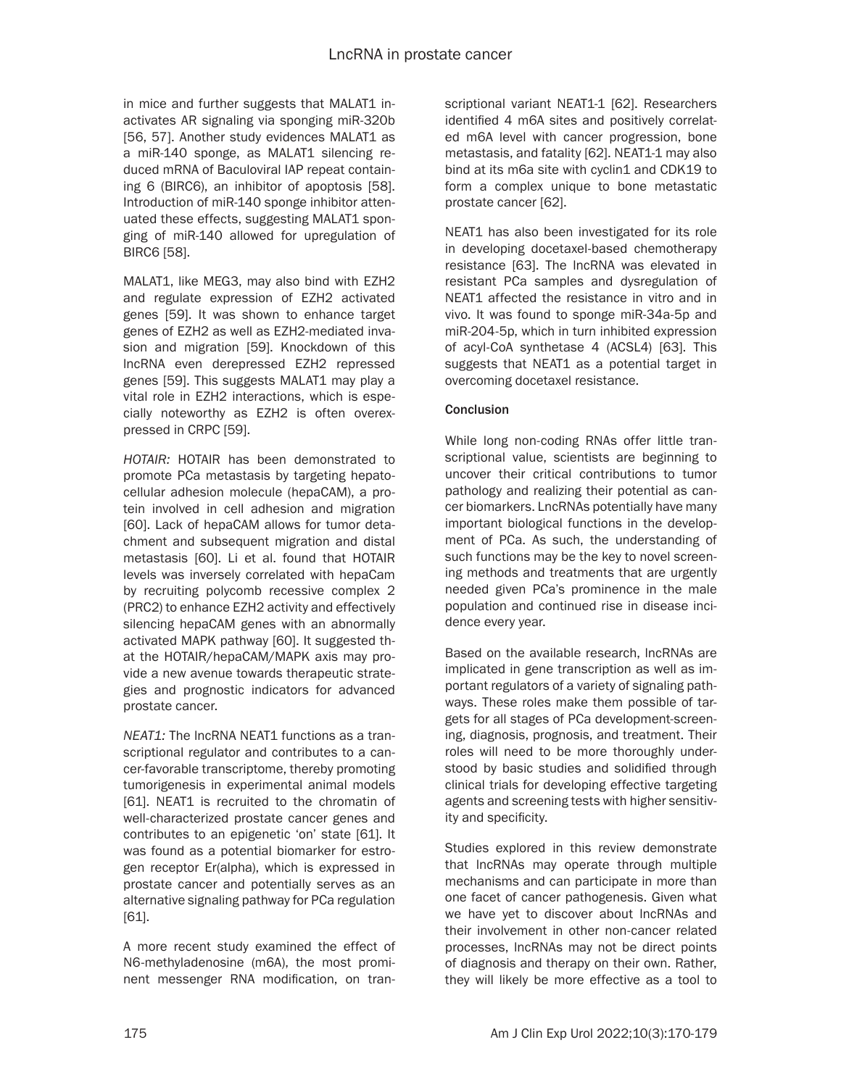in mice and further suggests that MALAT1 inactivates AR signaling via sponging miR-320b [56, 57]. Another study evidences MALAT1 as a miR-140 sponge, as MALAT1 silencing reduced mRNA of Baculoviral IAP repeat containing 6 (BIRC6), an inhibitor of apoptosis [58]. Introduction of miR-140 sponge inhibitor attenuated these effects, suggesting MALAT1 sponging of miR-140 allowed for upregulation of BIRC6 [58].

MALAT1, like MEG3, may also bind with EZH2 and regulate expression of EZH2 activated genes [59]. It was shown to enhance target genes of EZH2 as well as EZH2-mediated invasion and migration [59]. Knockdown of this lncRNA even derepressed EZH2 repressed genes [59]. This suggests MALAT1 may play a vital role in EZH2 interactions, which is especially noteworthy as EZH2 is often overexpressed in CRPC [59].

*HOTAIR:* HOTAIR has been demonstrated to promote PCa metastasis by targeting hepatocellular adhesion molecule (hepaCAM), a protein involved in cell adhesion and migration [60]. Lack of hepaCAM allows for tumor detachment and subsequent migration and distal metastasis [60]. Li et al. found that HOTAIR levels was inversely correlated with hepaCam by recruiting polycomb recessive complex 2 (PRC2) to enhance EZH2 activity and effectively silencing hepaCAM genes with an abnormally activated MAPK pathway [60]. It suggested that the HOTAIR/hepaCAM/MAPK axis may provide a new avenue towards therapeutic strategies and prognostic indicators for advanced prostate cancer.

*NEAT1:* The lncRNA NEAT1 functions as a transcriptional regulator and contributes to a cancer-favorable transcriptome, thereby promoting tumorigenesis in experimental animal models [61]. NEAT1 is recruited to the chromatin of well-characterized prostate cancer genes and contributes to an epigenetic 'on' state [61]. It was found as a potential biomarker for estrogen receptor Er(alpha), which is expressed in prostate cancer and potentially serves as an alternative signaling pathway for PCa regulation [61].

A more recent study examined the effect of N6-methyladenosine (m6A), the most prominent messenger RNA modification, on transcriptional variant NEAT1-1 [62]. Researchers identified 4 m6A sites and positively correlated m6A level with cancer progression, bone metastasis, and fatality [62]. NEAT1-1 may also bind at its m6a site with cyclin1 and CDK19 to form a complex unique to bone metastatic prostate cancer [62].

NEAT1 has also been investigated for its role in developing docetaxel-based chemotherapy resistance [63]. The lncRNA was elevated in resistant PCa samples and dysregulation of NEAT1 affected the resistance in vitro and in vivo. It was found to sponge miR-34a-5p and miR-204-5p, which in turn inhibited expression of acyl-CoA synthetase 4 (ACSL4) [63]. This suggests that NEAT1 as a potential target in overcoming docetaxel resistance.

## **Conclusion**

While long non-coding RNAs offer little transcriptional value, scientists are beginning to uncover their critical contributions to tumor pathology and realizing their potential as cancer biomarkers. LncRNAs potentially have many important biological functions in the development of PCa. As such, the understanding of such functions may be the key to novel screening methods and treatments that are urgently needed given PCa's prominence in the male population and continued rise in disease incidence every year.

Based on the available research, lncRNAs are implicated in gene transcription as well as important regulators of a variety of signaling pathways. These roles make them possible of targets for all stages of PCa development-screening, diagnosis, prognosis, and treatment. Their roles will need to be more thoroughly understood by basic studies and solidified through clinical trials for developing effective targeting agents and screening tests with higher sensitivity and specificity.

Studies explored in this review demonstrate that lncRNAs may operate through multiple mechanisms and can participate in more than one facet of cancer pathogenesis. Given what we have yet to discover about lncRNAs and their involvement in other non-cancer related processes, lncRNAs may not be direct points of diagnosis and therapy on their own. Rather, they will likely be more effective as a tool to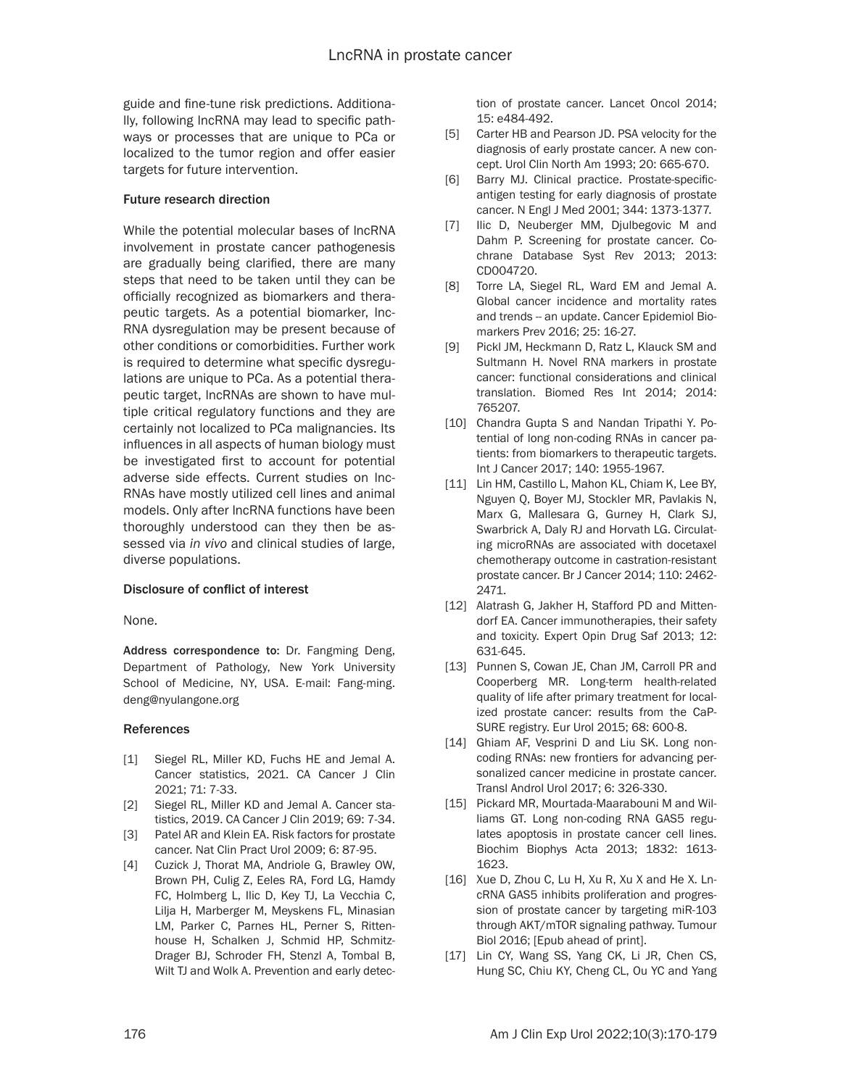guide and fine-tune risk predictions. Additionally, following lncRNA may lead to specific pathways or processes that are unique to PCa or localized to the tumor region and offer easier targets for future intervention.

#### Future research direction

While the potential molecular bases of lncRNA involvement in prostate cancer pathogenesis are gradually being clarified, there are many steps that need to be taken until they can be officially recognized as biomarkers and therapeutic targets. As a potential biomarker, lnc-RNA dysregulation may be present because of other conditions or comorbidities. Further work is required to determine what specific dysregulations are unique to PCa. As a potential therapeutic target, lncRNAs are shown to have multiple critical regulatory functions and they are certainly not localized to PCa malignancies. Its influences in all aspects of human biology must be investigated first to account for potential adverse side effects. Current studies on lnc-RNAs have mostly utilized cell lines and animal models. Only after lncRNA functions have been thoroughly understood can they then be assessed via *in vivo* and clinical studies of large, diverse populations.

## Disclosure of conflict of interest

None.

Address correspondence to: Dr. Fangming Deng, Department of Pathology, New York University School of Medicine, NY, USA. E-mail: Fang-ming. deng@nyulangone.org

#### References

- [1] Siegel RL, Miller KD, Fuchs HE and Jemal A. Cancer statistics, 2021. CA Cancer J Clin 2021; 71: 7-33.
- [2] Siegel RL, Miller KD and Jemal A. Cancer statistics, 2019. CA Cancer J Clin 2019; 69: 7-34.
- [3] Patel AR and Klein EA. Risk factors for prostate cancer. Nat Clin Pract Urol 2009; 6: 87-95.
- [4] Cuzick J, Thorat MA, Andriole G, Brawley OW, Brown PH, Culig Z, Eeles RA, Ford LG, Hamdy FC, Holmberg L, Ilic D, Key TJ, La Vecchia C, Lilja H, Marberger M, Meyskens FL, Minasian LM, Parker C, Parnes HL, Perner S, Rittenhouse H, Schalken J, Schmid HP, Schmitz-Drager BJ, Schroder FH, Stenzl A, Tombal B, Wilt TJ and Wolk A. Prevention and early detec-

tion of prostate cancer. Lancet Oncol 2014; 15: e484-492.

- [5] Carter HB and Pearson JD. PSA velocity for the diagnosis of early prostate cancer. A new concept. Urol Clin North Am 1993; 20: 665-670.
- [6] Barry MJ. Clinical practice. Prostate-specificantigen testing for early diagnosis of prostate cancer. N Engl J Med 2001; 344: 1373-1377.
- [7] Ilic D, Neuberger MM, Djulbegovic M and Dahm P. Screening for prostate cancer. Cochrane Database Syst Rev 2013; 2013: CD004720.
- [8] Torre LA, Siegel RL, Ward EM and Jemal A. Global cancer incidence and mortality rates and trends -- an update. Cancer Epidemiol Biomarkers Prev 2016; 25: 16-27.
- [9] Pickl JM, Heckmann D, Ratz L, Klauck SM and Sultmann H. Novel RNA markers in prostate cancer: functional considerations and clinical translation. Biomed Res Int 2014; 2014: 765207.
- [10] Chandra Gupta S and Nandan Tripathi Y. Potential of long non-coding RNAs in cancer patients: from biomarkers to therapeutic targets. Int J Cancer 2017; 140: 1955-1967.
- [11] Lin HM, Castillo L, Mahon KL, Chiam K, Lee BY, Nguyen Q, Boyer MJ, Stockler MR, Pavlakis N, Marx G, Mallesara G, Gurney H, Clark SJ, Swarbrick A, Daly RJ and Horvath LG. Circulating microRNAs are associated with docetaxel chemotherapy outcome in castration-resistant prostate cancer. Br J Cancer 2014; 110: 2462- 2471.
- [12] Alatrash G, Jakher H, Stafford PD and Mittendorf EA. Cancer immunotherapies, their safety and toxicity. Expert Opin Drug Saf 2013; 12: 631-645.
- [13] Punnen S, Cowan JE, Chan JM, Carroll PR and Cooperberg MR. Long-term health-related quality of life after primary treatment for localized prostate cancer: results from the CaP-SURE registry. Eur Urol 2015; 68: 600-8.
- [14] Ghiam AF, Vesprini D and Liu SK. Long noncoding RNAs: new frontiers for advancing personalized cancer medicine in prostate cancer. Transl Androl Urol 2017; 6: 326-330.
- [15] Pickard MR, Mourtada-Maarabouni M and Williams GT. Long non-coding RNA GAS5 regulates apoptosis in prostate cancer cell lines. Biochim Biophys Acta 2013; 1832: 1613- 1623.
- [16] Xue D, Zhou C, Lu H, Xu R, Xu X and He X. LncRNA GAS5 inhibits proliferation and progression of prostate cancer by targeting miR-103 through AKT/mTOR signaling pathway. Tumour Biol 2016; [Epub ahead of print].
- [17] Lin CY, Wang SS, Yang CK, Li JR, Chen CS, Hung SC, Chiu KY, Cheng CL, Ou YC and Yang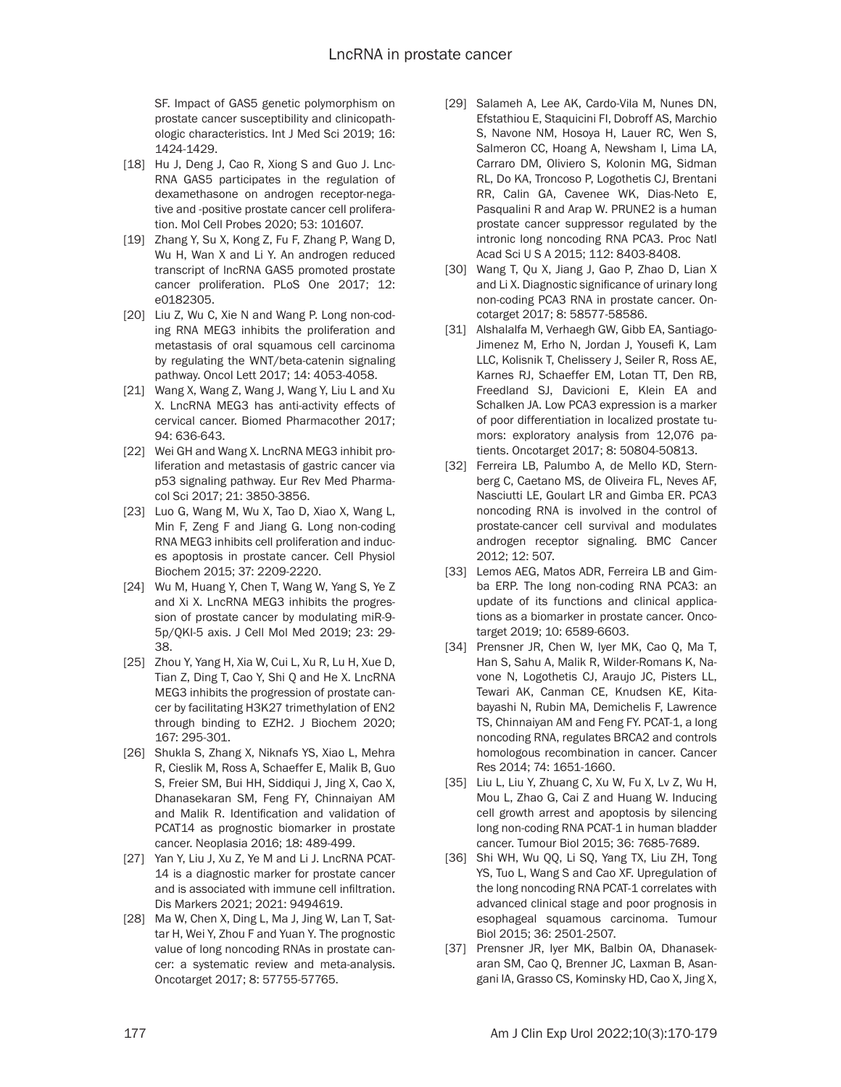SF. Impact of GAS5 genetic polymorphism on prostate cancer susceptibility and clinicopathologic characteristics. Int J Med Sci 2019; 16: 1424-1429.

- [18] Hu J, Deng J, Cao R, Xiong S and Guo J. Lnc-RNA GAS5 participates in the regulation of dexamethasone on androgen receptor-negative and -positive prostate cancer cell proliferation. Mol Cell Probes 2020; 53: 101607.
- [19] Zhang Y, Su X, Kong Z, Fu F, Zhang P, Wang D, Wu H, Wan X and Li Y. An androgen reduced transcript of lncRNA GAS5 promoted prostate cancer proliferation. PLoS One 2017; 12: e0182305.
- [20] Liu Z, Wu C, Xie N and Wang P. Long non-coding RNA MEG3 inhibits the proliferation and metastasis of oral squamous cell carcinoma by regulating the WNT/beta-catenin signaling pathway. Oncol Lett 2017; 14: 4053-4058.
- [21] Wang X, Wang Z, Wang J, Wang Y, Liu L and Xu X. LncRNA MEG3 has anti-activity effects of cervical cancer. Biomed Pharmacother 2017; 94: 636-643.
- [22] Wei GH and Wang X. LncRNA MEG3 inhibit proliferation and metastasis of gastric cancer via p53 signaling pathway. Eur Rev Med Pharmacol Sci 2017; 21: 3850-3856.
- [23] Luo G, Wang M, Wu X, Tao D, Xiao X, Wang L, Min F, Zeng F and Jiang G. Long non-coding RNA MEG3 inhibits cell proliferation and induces apoptosis in prostate cancer. Cell Physiol Biochem 2015; 37: 2209-2220.
- [24] Wu M, Huang Y, Chen T, Wang W, Yang S, Ye Z and Xi X. LncRNA MEG3 inhibits the progression of prostate cancer by modulating miR-9- 5p/QKI-5 axis. J Cell Mol Med 2019; 23: 29- 38.
- [25] Zhou Y, Yang H, Xia W, Cui L, Xu R, Lu H, Xue D, Tian Z, Ding T, Cao Y, Shi Q and He X. LncRNA MEG3 inhibits the progression of prostate cancer by facilitating H3K27 trimethylation of EN2 through binding to EZH2. J Biochem 2020; 167: 295-301.
- [26] Shukla S, Zhang X, Niknafs YS, Xiao L, Mehra R, Cieslik M, Ross A, Schaeffer E, Malik B, Guo S, Freier SM, Bui HH, Siddiqui J, Jing X, Cao X, Dhanasekaran SM, Feng FY, Chinnaiyan AM and Malik R. Identification and validation of PCAT14 as prognostic biomarker in prostate cancer. Neoplasia 2016; 18: 489-499.
- [27] Yan Y, Liu J, Xu Z, Ye M and Li J. LncRNA PCAT-14 is a diagnostic marker for prostate cancer and is associated with immune cell infiltration. Dis Markers 2021; 2021: 9494619.
- [28] Ma W, Chen X, Ding L, Ma J, Jing W, Lan T, Sattar H, Wei Y, Zhou F and Yuan Y. The prognostic value of long noncoding RNAs in prostate cancer: a systematic review and meta-analysis. Oncotarget 2017; 8: 57755-57765.
- [29] Salameh A, Lee AK, Cardo-Vila M, Nunes DN, Efstathiou E, Staquicini FI, Dobroff AS, Marchio S, Navone NM, Hosoya H, Lauer RC, Wen S, Salmeron CC, Hoang A, Newsham I, Lima LA, Carraro DM, Oliviero S, Kolonin MG, Sidman RL, Do KA, Troncoso P, Logothetis CJ, Brentani RR, Calin GA, Cavenee WK, Dias-Neto E, Pasqualini R and Arap W. PRUNE2 is a human prostate cancer suppressor regulated by the intronic long noncoding RNA PCA3. Proc Natl Acad Sci U S A 2015; 112: 8403-8408.
- [30] Wang T, Qu X, Jiang J, Gao P, Zhao D, Lian X and Li X. Diagnostic significance of urinary long non-coding PCA3 RNA in prostate cancer. Oncotarget 2017; 8: 58577-58586.
- [31] Alshalalfa M, Verhaegh GW, Gibb EA, Santiago-Jimenez M, Erho N, Jordan J, Yousefi K, Lam LLC, Kolisnik T, Chelissery J, Seiler R, Ross AE, Karnes RJ, Schaeffer EM, Lotan TT, Den RB, Freedland SJ, Davicioni E, Klein EA and Schalken JA. Low PCA3 expression is a marker of poor differentiation in localized prostate tumors: exploratory analysis from 12,076 patients. Oncotarget 2017; 8: 50804-50813.
- [32] Ferreira LB, Palumbo A, de Mello KD, Sternberg C, Caetano MS, de Oliveira FL, Neves AF, Nasciutti LE, Goulart LR and Gimba ER. PCA3 noncoding RNA is involved in the control of prostate-cancer cell survival and modulates androgen receptor signaling. BMC Cancer 2012; 12: 507.
- [33] Lemos AEG, Matos ADR, Ferreira LB and Gimba ERP. The long non-coding RNA PCA3: an update of its functions and clinical applications as a biomarker in prostate cancer. Oncotarget 2019; 10: 6589-6603.
- [34] Prensner JR, Chen W, Iyer MK, Cao Q, Ma T, Han S, Sahu A, Malik R, Wilder-Romans K, Navone N, Logothetis CJ, Araujo JC, Pisters LL, Tewari AK, Canman CE, Knudsen KE, Kitabayashi N, Rubin MA, Demichelis F, Lawrence TS, Chinnaiyan AM and Feng FY. PCAT-1, a long noncoding RNA, regulates BRCA2 and controls homologous recombination in cancer. Cancer Res 2014; 74: 1651-1660.
- [35] Liu L, Liu Y, Zhuang C, Xu W, Fu X, Lv Z, Wu H, Mou L, Zhao G, Cai Z and Huang W. Inducing cell growth arrest and apoptosis by silencing long non-coding RNA PCAT-1 in human bladder cancer. Tumour Biol 2015; 36: 7685-7689.
- [36] Shi WH, Wu QQ, Li SQ, Yang TX, Liu ZH, Tong YS, Tuo L, Wang S and Cao XF. Upregulation of the long noncoding RNA PCAT-1 correlates with advanced clinical stage and poor prognosis in esophageal squamous carcinoma. Tumour Biol 2015; 36: 2501-2507.
- [37] Prensner JR, Iyer MK, Balbin OA, Dhanasekaran SM, Cao Q, Brenner JC, Laxman B, Asangani IA, Grasso CS, Kominsky HD, Cao X, Jing X,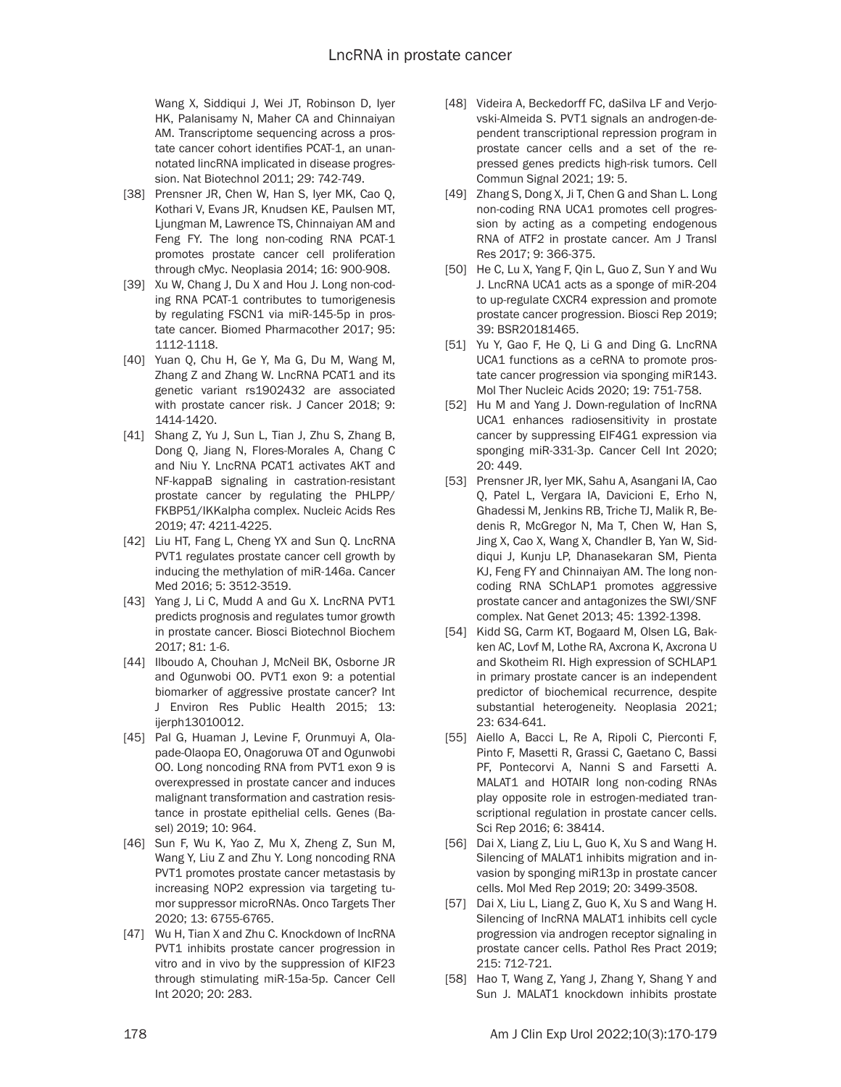Wang X, Siddiqui J, Wei JT, Robinson D, Iyer HK, Palanisamy N, Maher CA and Chinnaiyan AM. Transcriptome sequencing across a prostate cancer cohort identifies PCAT-1, an unannotated lincRNA implicated in disease progression. Nat Biotechnol 2011; 29: 742-749.

- [38] Prensner JR, Chen W, Han S, Iyer MK, Cao Q, Kothari V, Evans JR, Knudsen KE, Paulsen MT, Ljungman M, Lawrence TS, Chinnaiyan AM and Feng FY. The long non-coding RNA PCAT-1 promotes prostate cancer cell proliferation through cMyc. Neoplasia 2014; 16: 900-908.
- [39] Xu W, Chang J, Du X and Hou J. Long non-coding RNA PCAT-1 contributes to tumorigenesis by regulating FSCN1 via miR-145-5p in prostate cancer. Biomed Pharmacother 2017; 95: 1112-1118.
- [40] Yuan Q, Chu H, Ge Y, Ma G, Du M, Wang M, Zhang Z and Zhang W. LncRNA PCAT1 and its genetic variant rs1902432 are associated with prostate cancer risk. J Cancer 2018; 9: 1414-1420.
- [41] Shang Z, Yu J, Sun L, Tian J, Zhu S, Zhang B, Dong Q, Jiang N, Flores-Morales A, Chang C and Niu Y. LncRNA PCAT1 activates AKT and NF-kappaB signaling in castration-resistant prostate cancer by regulating the PHLPP/ FKBP51/IKKalpha complex. Nucleic Acids Res 2019; 47: 4211-4225.
- [42] Liu HT, Fang L, Cheng YX and Sun Q. LncRNA PVT1 regulates prostate cancer cell growth by inducing the methylation of miR-146a. Cancer Med 2016; 5: 3512-3519.
- [43] Yang J, Li C, Mudd A and Gu X. LncRNA PVT1 predicts prognosis and regulates tumor growth in prostate cancer. Biosci Biotechnol Biochem 2017; 81: 1-6.
- [44] Ilboudo A, Chouhan J, McNeil BK, Osborne JR and Ogunwobi OO. PVT1 exon 9: a potential biomarker of aggressive prostate cancer? Int J Environ Res Public Health 2015; 13: ijerph13010012.
- [45] Pal G, Huaman J, Levine F, Orunmuyi A, Olapade-Olaopa EO, Onagoruwa OT and Ogunwobi OO. Long noncoding RNA from PVT1 exon 9 is overexpressed in prostate cancer and induces malignant transformation and castration resistance in prostate epithelial cells. Genes (Basel) 2019; 10: 964.
- [46] Sun F, Wu K, Yao Z, Mu X, Zheng Z, Sun M, Wang Y, Liu Z and Zhu Y. Long noncoding RNA PVT1 promotes prostate cancer metastasis by increasing NOP2 expression via targeting tumor suppressor microRNAs. Onco Targets Ther 2020; 13: 6755-6765.
- [47] Wu H, Tian X and Zhu C. Knockdown of lncRNA PVT1 inhibits prostate cancer progression in vitro and in vivo by the suppression of KIF23 through stimulating miR-15a-5p. Cancer Cell Int 2020; 20: 283.
- [48] Videira A, Beckedorff FC, daSilva LF and Verjovski-Almeida S. PVT1 signals an androgen-dependent transcriptional repression program in prostate cancer cells and a set of the repressed genes predicts high-risk tumors. Cell Commun Signal 2021; 19: 5.
- [49] Zhang S, Dong X, Ji T, Chen G and Shan L. Long non-coding RNA UCA1 promotes cell progression by acting as a competing endogenous RNA of ATF2 in prostate cancer. Am J Transl Res 2017; 9: 366-375.
- [50] He C, Lu X, Yang F, Qin L, Guo Z, Sun Y and Wu J. LncRNA UCA1 acts as a sponge of miR-204 to up-regulate CXCR4 expression and promote prostate cancer progression. Biosci Rep 2019; 39: BSR20181465.
- [51] Yu Y, Gao F, He Q, Li G and Ding G. LncRNA UCA1 functions as a ceRNA to promote prostate cancer progression via sponging miR143. Mol Ther Nucleic Acids 2020; 19: 751-758.
- [52] Hu M and Yang J. Down-regulation of IncRNA UCA1 enhances radiosensitivity in prostate cancer by suppressing EIF4G1 expression via sponging miR-331-3p. Cancer Cell Int 2020; 20: 449.
- [53] Prensner JR, Iyer MK, Sahu A, Asangani IA, Cao Q, Patel L, Vergara IA, Davicioni E, Erho N, Ghadessi M, Jenkins RB, Triche TJ, Malik R, Bedenis R, McGregor N, Ma T, Chen W, Han S, Jing X, Cao X, Wang X, Chandler B, Yan W, Siddiqui J, Kunju LP, Dhanasekaran SM, Pienta KJ, Feng FY and Chinnaiyan AM. The long noncoding RNA SChLAP1 promotes aggressive prostate cancer and antagonizes the SWI/SNF complex. Nat Genet 2013; 45: 1392-1398.
- [54] Kidd SG, Carm KT, Bogaard M, Olsen LG, Bakken AC, Lovf M, Lothe RA, Axcrona K, Axcrona U and Skotheim RI. High expression of SCHLAP1 in primary prostate cancer is an independent predictor of biochemical recurrence, despite substantial heterogeneity. Neoplasia 2021; 23: 634-641.
- [55] Aiello A, Bacci L, Re A, Ripoli C, Pierconti F, Pinto F, Masetti R, Grassi C, Gaetano C, Bassi PF, Pontecorvi A, Nanni S and Farsetti A. MALAT1 and HOTAIR long non-coding RNAs play opposite role in estrogen-mediated transcriptional regulation in prostate cancer cells. Sci Rep 2016; 6: 38414.
- [56] Dai X, Liang Z, Liu L, Guo K, Xu S and Wang H. Silencing of MALAT1 inhibits migration and invasion by sponging miR13p in prostate cancer cells. Mol Med Rep 2019; 20: 3499-3508.
- [57] Dai X, Liu L, Liang Z, Guo K, Xu S and Wang H. Silencing of IncRNA MALAT1 inhibits cell cycle progression via androgen receptor signaling in prostate cancer cells. Pathol Res Pract 2019; 215: 712-721.
- [58] Hao T, Wang Z, Yang J, Zhang Y, Shang Y and Sun J. MALAT1 knockdown inhibits prostate